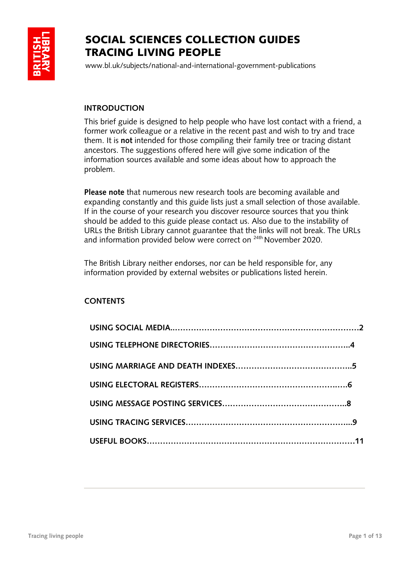

# SOCIAL SCIENCES COLLECTION GUIDES TRACING LIVING PEOPLE

www.bl.uk/subjects/national-and-international-government-publications

# **INTRODUCTION**

This brief guide is designed to help people who have lost contact with a friend, a former work colleague or a relative in the recent past and wish to try and trace them. It is **not** intended for those compiling their family tree or tracing distant ancestors. The suggestions offered here will give some indication of the information sources available and some ideas about how to approach the problem.

**Please note** that numerous new research tools are becoming available and expanding constantly and this guide lists just a small selection of those available. If in the course of your research you discover resource sources that you think should be added to this guide please contact us. Also due to the instability of URLs the British Library cannot guarantee that the links will not break. The URLs and information provided below were correct on <sup>24th</sup> November 2020.

The British Library neither endorses, nor can be held responsible for, any information provided by external websites or publications listed herein.

# **CONTENTS**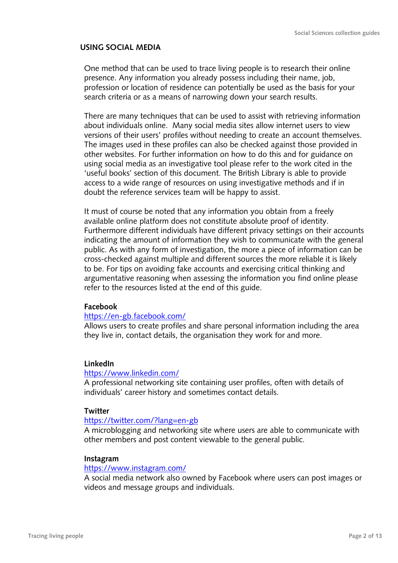#### **USING SOCIAL MEDIA**

One method that can be used to trace living people is to research their online presence. Any information you already possess including their name, job, profession or location of residence can potentially be used as the basis for your search criteria or as a means of narrowing down your search results.

There are many techniques that can be used to assist with retrieving information about individuals online. Many social media sites allow internet users to view versions of their users' profiles without needing to create an account themselves. The images used in these profiles can also be checked against those provided in other websites. For further information on how to do this and for guidance on using social media as an investigative tool please refer to the work cited in the 'useful books' section of this document. The British Library is able to provide access to a wide range of resources on using investigative methods and if in doubt the reference services team will be happy to assist.

It must of course be noted that any information you obtain from a freely available online platform does not constitute absolute proof of identity. Furthermore different individuals have different privacy settings on their accounts indicating the amount of information they wish to communicate with the general public. As with any form of investigation, the more a piece of information can be cross-checked against multiple and different sources the more reliable it is likely to be. For tips on avoiding fake accounts and exercising critical thinking and argumentative reasoning when assessing the information you find online please refer to the resources listed at the end of this guide.

#### **Facebook**

#### <https://en-gb.facebook.com/>

Allows users to create profiles and share personal information including the area they live in, contact details, the organisation they work for and more.

## **LinkedIn**

#### <https://www.linkedin.com/>

A professional networking site containing user profiles, often with details of individuals' career history and sometimes contact details.

#### **Twitter**

#### <https://twitter.com/?lang=en-gb>

A microblogging and networking site where users are able to communicate with other members and post content viewable to the general public.

#### **Instagram**

#### <https://www.instagram.com/>

A social media network also owned by Facebook where users can post images or videos and message groups and individuals.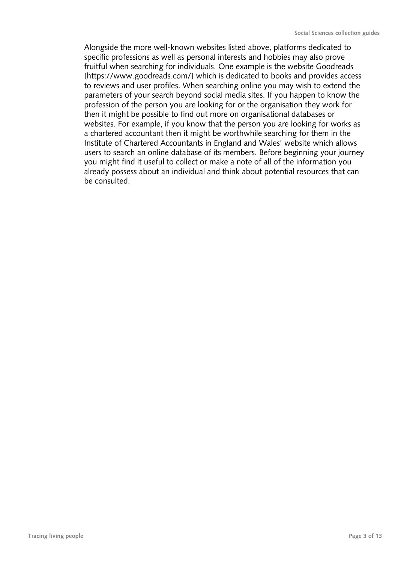Alongside the more well-known websites listed above, platforms dedicated to specific professions as well as personal interests and hobbies may also prove fruitful when searching for individuals. One example is the website Goodreads [https://www.goodreads.com/] which is dedicated to books and provides access to reviews and user profiles. When searching online you may wish to extend the parameters of your search beyond social media sites. If you happen to know the profession of the person you are looking for or the organisation they work for then it might be possible to find out more on organisational databases or websites. For example, if you know that the person you are looking for works as a chartered accountant then it might be worthwhile searching for them in the Institute of Chartered Accountants in England and Wales' website which allows users to search an online database of its members. Before beginning your journey you might find it useful to collect or make a note of all of the information you already possess about an individual and think about potential resources that can be consulted.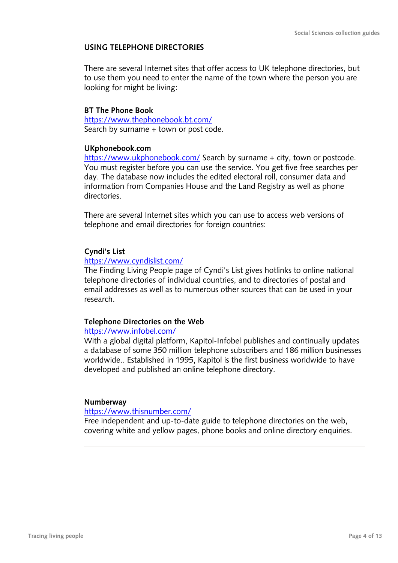#### **USING TELEPHONE DIRECTORIES**

There are several Internet sites that offer access to UK telephone directories, but to use them you need to enter the name of the town where the person you are looking for might be living:

#### **BT The Phone Book**

<https://www.thephonebook.bt.com/> Search by surname + town or post code.

#### **UKphonebook.com**

<https://www.ukphonebook.com/> Search by surname + city, town or postcode. You must register before you can use the service. You get five free searches per day. The database now includes the edited electoral roll, consumer data and information from Companies House and the Land Registry as well as phone directories.

There are several Internet sites which you can use to access web versions of telephone and email directories for foreign countries:

## **Cyndi's List**

#### <https://www.cyndislist.com/>

The Finding Living People page of Cyndi's List gives hotlinks to online national telephone directories of individual countries, and to directories of postal and email addresses as well as to numerous other sources that can be used in your research.

#### **Telephone Directories on the Web**

#### <https://www.infobel.com/>

With a global digital platform, Kapitol-Infobel publishes and continually updates a database of some 350 million telephone subscribers and 186 million businesses worldwide.. Established in 1995, Kapitol is the first business worldwide to have developed and published an online telephone directory.

#### **Numberway**

#### <https://www.thisnumber.com/>

Free independent and up-to-date guide to telephone directories on the web, covering white and yellow pages, phone books and online directory enquiries.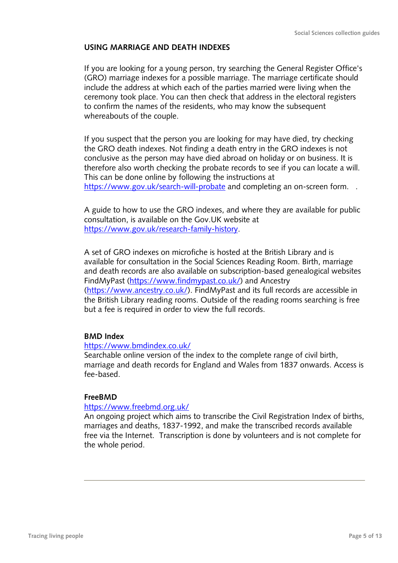## **USING MARRIAGE AND DEATH INDEXES**

If you are looking for a young person, try searching the General Register Office's (GRO) marriage indexes for a possible marriage. The marriage certificate should include the address at which each of the parties married were living when the ceremony took place. You can then check that address in the electoral registers to confirm the names of the residents, who may know the subsequent whereabouts of the couple.

If you suspect that the person you are looking for may have died, try checking the GRO death indexes. Not finding a death entry in the GRO indexes is not conclusive as the person may have died abroad on holiday or on business. It is therefore also worth checking the probate records to see if you can locate a will. This can be done online by following the instructions at <https://www.gov.uk/search-will-probate> and completing an on-screen form...

A guide to how to use the GRO indexes, and where they are available for public consultation, is available on the Gov.UK website at [https://www.gov.uk/research-family-history.](https://www.gov.uk/research-family-history)

A set of GRO indexes on microfiche is hosted at the British Library and is available for consultation in the Social Sciences Reading Room. Birth, marriage and death records are also available on subscription-based genealogical websites FindMyPast [\(https://www.findmypast.co.uk/\)](https://www.findmypast.co.uk/) and Ancestry [\(https://www.ancestry.co.uk/\)](https://www.ancestry.co.uk/). FindMyPast and its full records are accessible in the British Library reading rooms. Outside of the reading rooms searching is free but a fee is required in order to view the full records.

#### **BMD Index**

#### <https://www.bmdindex.co.uk/>

Searchable online version of the index to the complete range of civil birth, marriage and death records for England and Wales from 1837 onwards. Access is fee-based.

#### **FreeBMD**

#### <https://www.freebmd.org.uk/>

An ongoing project which aims to transcribe the Civil Registration Index of births, marriages and deaths, 1837-1992, and make the transcribed records available free via the Internet. Transcription is done by volunteers and is not complete for the whole period.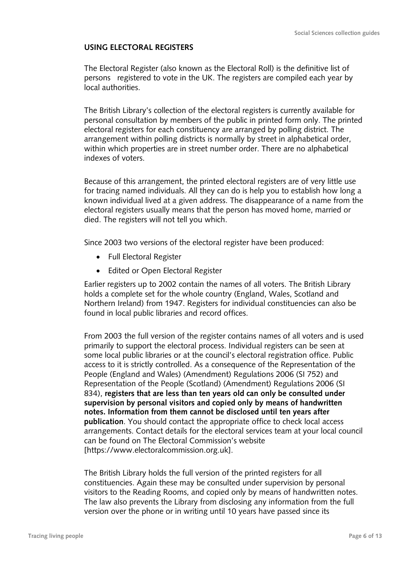#### **USING ELECTORAL REGISTERS**

The Electoral Register (also known as the Electoral Roll) is the definitive list of persons registered to vote in the UK. The registers are compiled each year by local authorities.

The British Library's collection of the electoral registers is currently available for personal consultation by members of the public in printed form only. The printed electoral registers for each constituency are arranged by polling district. The arrangement within polling districts is normally by street in alphabetical order, within which properties are in street number order. There are no alphabetical indexes of voters.

Because of this arrangement, the printed electoral registers are of very little use for tracing named individuals. All they can do is help you to establish how long a known individual lived at a given address. The disappearance of a name from the electoral registers usually means that the person has moved home, married or died. The registers will not tell you which.

Since 2003 two versions of the electoral register have been produced:

- Full Electoral Register
- Edited or Open Electoral Register

Earlier registers up to 2002 contain the names of all voters. The British Library holds a complete set for the whole country (England, Wales, Scotland and Northern Ireland) from 1947. Registers for individual constituencies can also be found in local public libraries and record offices.

From 2003 the full version of the register contains names of all voters and is used primarily to support the electoral process. Individual registers can be seen at some local public libraries or at the council's electoral registration office. Public access to it is strictly controlled. As a consequence of the Representation of the People (England and Wales) (Amendment) Regulations 2006 (SI 752) and Representation of the People (Scotland) (Amendment) Regulations 2006 (SI 834), **registers that are less than ten years old can only be consulted under supervision by personal visitors and copied only by means of handwritten notes. Information from them cannot be disclosed until ten years after publication**. You should contact the appropriate office to check local access arrangements. Contact details for the electoral services team at your local council can be found on The Electoral Commission's website [https://www.electoralcommission.org.uk].

The British Library holds the full version of the printed registers for all constituencies. Again these may be consulted under supervision by personal visitors to the Reading Rooms, and copied only by means of handwritten notes. The law also prevents the Library from disclosing any information from the full version over the phone or in writing until 10 years have passed since its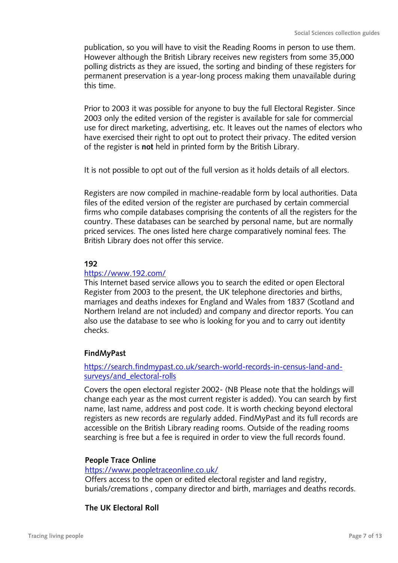publication, so you will have to visit the Reading Rooms in person to use them. However although the British Library receives new registers from some 35,000 polling districts as they are issued, the sorting and binding of these registers for permanent preservation is a year-long process making them unavailable during this time.

Prior to 2003 it was possible for anyone to buy the full Electoral Register. Since 2003 only the edited version of the register is available for sale for commercial use for direct marketing, advertising, etc. It leaves out the names of electors who have exercised their right to opt out to protect their privacy. The edited version of the register is **not** held in printed form by the British Library.

It is not possible to opt out of the full version as it holds details of all electors.

Registers are now compiled in machine-readable form by local authorities. Data files of the edited version of the register are purchased by certain commercial firms who compile databases comprising the contents of all the registers for the country. These databases can be searched by personal name, but are normally priced services. The ones listed here charge comparatively nominal fees. The British Library does not offer this service.

## **192**

#### <https://www.192.com/>

This Internet based service allows you to search the edited or open Electoral Register from 2003 to the present, the UK telephone directories and births, marriages and deaths indexes for England and Wales from 1837 (Scotland and Northern Ireland are not included) and company and director reports. You can also use the database to see who is looking for you and to carry out identity checks.

# **FindMyPast**

## [https://search.findmypast.co.uk/search-world-records-in-census-land-and](https://search.findmypast.co.uk/search-world-records-in-census-land-and-surveys/and_electoral-rolls)[surveys/and\\_electoral-rolls](https://search.findmypast.co.uk/search-world-records-in-census-land-and-surveys/and_electoral-rolls)

Covers the open electoral register 2002- (NB Please note that the holdings will change each year as the most current register is added). You can search by first name, last name, address and post code. It is worth checking beyond electoral registers as new records are regularly added. FindMyPast and its full records are accessible on the British Library reading rooms. Outside of the reading rooms searching is free but a fee is required in order to view the full records found.

#### **People Trace Online**

#### <https://www.peopletraceonline.co.uk/>

Offers access to the open or edited electoral register and land registry, burials/cremations , company director and birth, marriages and deaths records.

#### **The UK Electoral Roll**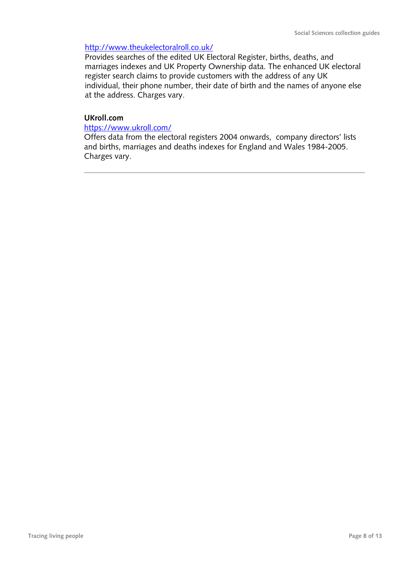## <http://www.theukelectoralroll.co.uk/>

Provides searches of the edited UK Electoral Register, births, deaths, and marriages indexes and UK Property Ownership data. The enhanced UK electoral register search claims to provide customers with the address of any UK individual, their phone number, their date of birth and the names of anyone else at the address. Charges vary.

#### **UKroll.com**

#### <https://www.ukroll.com/>

Offers data from the electoral registers 2004 onwards, company directors' lists and births, marriages and deaths indexes for England and Wales 1984-2005. Charges vary.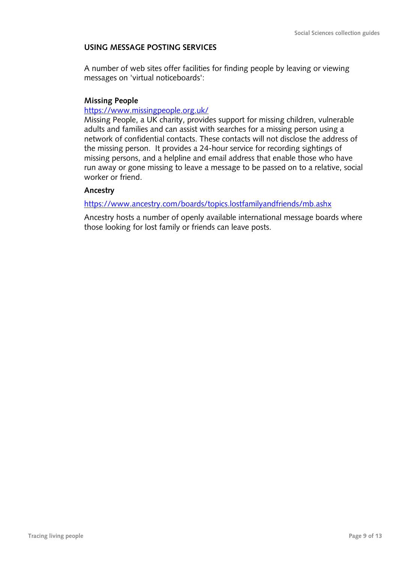# **USING MESSAGE POSTING SERVICES**

A number of web sites offer facilities for finding people by leaving or viewing messages on 'virtual noticeboards':

#### **Missing People**

#### <https://www.missingpeople.org.uk/>

Missing People, a UK charity, provides support for missing children, vulnerable adults and families and can assist with searches for a missing person using a network of confidential contacts. These contacts will not disclose the address of the missing person. It provides a 24-hour service for recording sightings of missing persons, and a helpline and email address that enable those who have run away or gone missing to leave a message to be passed on to a relative, social worker or friend.

## **Ancestry**

#### <https://www.ancestry.com/boards/topics.lostfamilyandfriends/mb.ashx>

Ancestry hosts a number of openly available international message boards where those looking for lost family or friends can leave posts.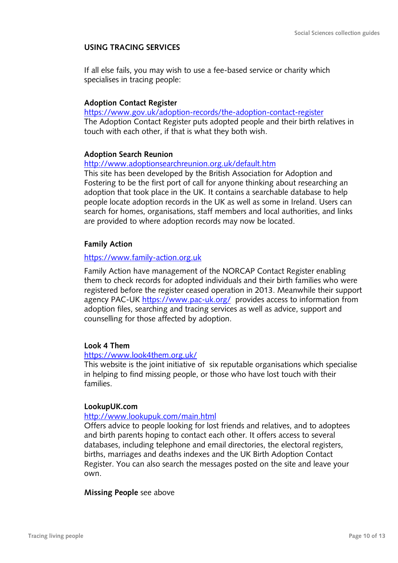## **USING TRACING SERVICES**

If all else fails, you may wish to use a fee-based service or charity which specialises in tracing people:

## **Adoption Contact Register**

<https://www.gov.uk/adoption-records/the-adoption-contact-register> The Adoption Contact Register puts adopted people and their birth relatives in touch with each other, if that is what they both wish.

#### **Adoption Search Reunion**

<http://www.adoptionsearchreunion.org.uk/default.htm>

This site has been developed by the British Association for Adoption and Fostering to be the first port of call for anyone thinking about researching an adoption that took place in the UK. It contains a searchable database to help people locate adoption records in the UK as well as some in Ireland. Users can search for homes, organisations, staff members and local authorities, and links are provided to where adoption records may now be located.

## **Family Action**

#### [https://www.family-action.org.uk](https://www.family-action.org.uk/)

Family Action have management of the NORCAP Contact Register enabling them to check records for adopted individuals and their birth families who were registered before the register ceased operation in 2013. Meanwhile their support agency PAC-UK<https://www.pac-uk.org/>provides access to information from adoption files, searching and tracing services as well as advice, support and counselling for those affected by adoption.

#### **Look 4 Them**

#### <https://www.look4them.org.uk/>

This website is the joint initiative of six reputable organisations which specialise in helping to find missing people, or those who have lost touch with their families.

#### **LookupUK.com**

#### <http://www.lookupuk.com/main.html>

Offers advice to people looking for lost friends and relatives, and to adoptees and birth parents hoping to contact each other. It offers access to several databases, including telephone and email directories, the electoral registers, births, marriages and deaths indexes and the UK Birth Adoption Contact Register. You can also search the messages posted on the site and leave your own.

#### **Missing People** see above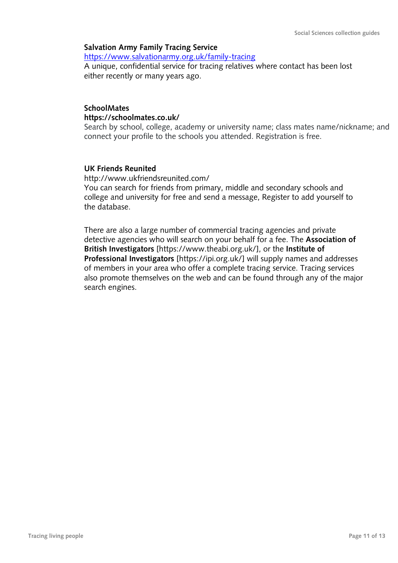## **Salvation Army Family Tracing Service**

<https://www.salvationarmy.org.uk/family-tracing>

A unique, confidential service for tracing relatives where contact has been lost either recently or many years ago.

# **SchoolMates https://schoolmates.co.uk/**

Search by school, college, academy or university name; class mates name/nickname; and connect your profile to the schools you attended. Registration is free.

## **UK Friends Reunited**

http://www.ukfriendsreunited.com/ You can search for friends from primary, middle and secondary schools and college and university for free and send a message, Register to add yourself to the database.

There are also a large number of commercial tracing agencies and private detective agencies who will search on your behalf for a fee. The **Association of British Investigators** [https://www.theabi.org.uk/], or the **Institute of Professional Investigators** [https://ipi.org.uk/] will supply names and addresses of members in your area who offer a complete tracing service. Tracing services also promote themselves on the web and can be found through any of the major search engines.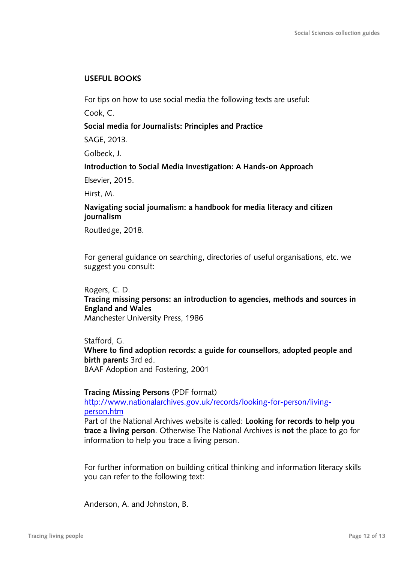# **USEFUL BOOKS**

For tips on how to use social media the following texts are useful:

Cook, C.

# **Social media for Journalists: Principles and Practice**

SAGE, 2013.

Golbeck, J.

# **Introduction to Social Media Investigation: A Hands-on Approach**

Elsevier, 2015.

Hirst, M.

# **Navigating social journalism: a handbook for media literacy and citizen journalism**

Routledge, 2018.

For general guidance on searching, directories of useful organisations, etc. we suggest you consult:

Rogers, C. D.

**Tracing missing persons: an introduction to agencies, methods and sources in England and Wales**

Manchester University Press, 1986

Stafford, G. **Where to find adoption records: a guide for counsellors, adopted people and birth parent***s* 3rd ed. BAAF Adoption and Fostering, 2001

**Tracing Missing Persons** (PDF format)

[http://www.nationalarchives.gov.uk/records/looking-for-person/living](http://www.nationalarchives.gov.uk/records/looking-for-person/living-person.htm)[person.htm](http://www.nationalarchives.gov.uk/records/looking-for-person/living-person.htm)

Part of the National Archives website is called: **Looking for records to help you trace a living person**. Otherwise The National Archives is **not** the place to go for information to help you trace a living person.

For further information on building critical thinking and information literacy skills you can refer to the following text:

Anderson, A. and Johnston, B.